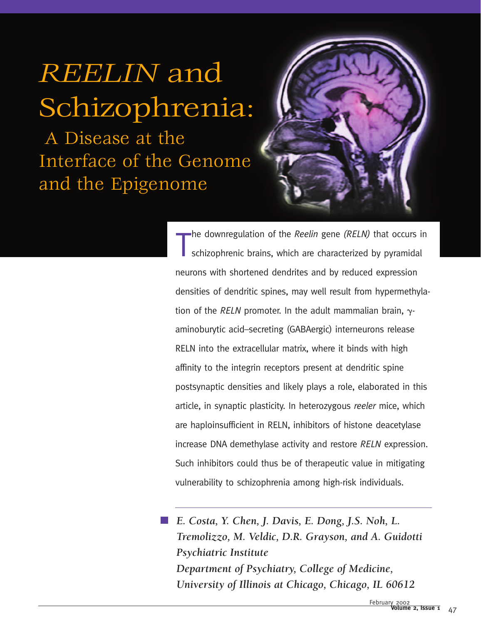# *REELIN* and Schizophrenia:

A Disease at the Interface of the Genome and the Epigenome



The downregulation of the *Reelin* gene *(RELN)* that occurs in schizophrenic brains, which are characterized by pyramidal schizophrenic brains, which are characterized by pyramidal neurons with shortened dendrites and by reduced expression densities of dendritic spines, may well result from hypermethylation of the *RELN* promoter. In the adult mammalian brain,  $\gamma$ aminoburytic acid–secreting (GABAergic) interneurons release RELN into the extracellular matrix, where it binds with high affinity to the integrin receptors present at dendritic spine postsynaptic densities and likely plays a role, elaborated in this article, in synaptic plasticity. In heterozygous *reeler* mice, which are haploinsufficient in RELN, inhibitors of histone deacetylase increase DNA demethylase activity and restore *RELN* expression. Such inhibitors could thus be of therapeutic value in mitigating vulnerability to schizophrenia among high-risk individuals.

*E. Costa, Y. Chen, J. Davis, E. Dong, J.S. Noh, L. Tremolizzo, M. Veldic, D.R. Grayson, and A. Guidotti Psychiatric Institute Department of Psychiatry, College of Medicine, University of Illinois at Chicago, Chicago, IL 60612*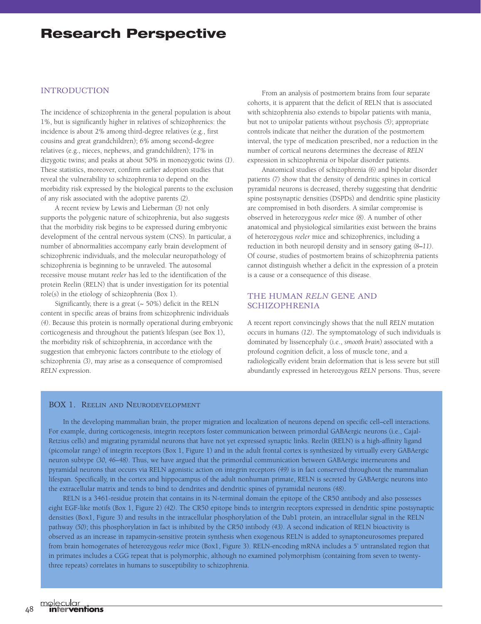#### INTRODUCTION

The incidence of schizophrenia in the general population is about 1%, but is significantly higher in relatives of schizophrenics: the incidence is about 2% among third-degree relatives (e.g., first cousins and great grandchildren); 6% among second-degree relatives (e.g., nieces, nephews, and grandchildren); 17% in dizygotic twins; and peaks at about 50% in monozygotic twins *(1)*. These statistics, moreover, confirm earlier adoption studies that reveal the vulnerability to schizophrenia to depend on the morbidity risk expressed by the biological parents to the exclusion of any risk associated with the adoptive parents *(2)*.

A recent review by Lewis and Lieberman *(3)* not only supports the polygenic nature of schizophrenia, but also suggests that the morbidity risk begins to be expressed during embryonic development of the central nervous system (CNS). In particular, a number of abnormalities accompany early brain development of schizophrenic individuals, and the molecular neuropathology of schizophrenia is beginning to be unraveled. The autosomal recessive mouse mutant *reeler* has led to the identification of the protein Reelin (RELN) that is under investigation for its potential role(s) in the etiology of schizophrenia (Box 1).

Significantly, there is a great  $({\sim} 50\%)$  deficit in the RELN content in specific areas of brains from schizophrenic individuals *(4)*. Because this protein is normally operational during embryonic corticogenesis and throughout the patient's lifespan (see Box 1), the morbidity risk of schizophrenia, in accordance with the suggestion that embryonic factors contribute to the etiology of schizophrenia *(3)*, may arise as a consequence of compromised *RELN* expression.

From an analysis of postmortem brains from four separate cohorts, it is apparent that the deficit of RELN that is associated with schizophrenia also extends to bipolar patients with mania, but not to unipolar patients without psychosis *(5)*; appropriate controls indicate that neither the duration of the postmortem interval, the type of medication prescribed, nor a reduction in the number of cortical neurons determines the decrease of *RELN* expression in schizophrenia or bipolar disorder patients.

Anatomical studies of schizophrenia *(6)* and bipolar disorder patients *(7)* show that the density of dendritic spines in cortical pyramidal neurons is decreased, thereby suggesting that dendritic spine postsynaptic densities (DSPDs) and dendritic spine plasticity are compromised in both disorders. A similar compromise is observed in heterozygous *reeler* mice *(8)*. A number of other anatomical and physiological similarities exist between the brains of heterozygous *reeler* mice and schizophrenics, including a reduction in both neuropil density and in sensory gating *(8–11)*. Of course, studies of postmortem brains of schizophrenia patients cannot distinguish whether a deficit in the expression of a protein is a cause or a consequence of this disease.

## THE HUMAN *RELN* GENE AND SCHIZOPHRENIA

A recent report convincingly shows that the null *RELN* mutation occurs in humans *(12)*. The symptomatology of such individuals is dominated by lissencephaly (i.e., *smooth brain*) associated with a profound cognition deficit, a loss of muscle tone, and a radiologically evident brain deformation that is less severe but still abundantly expressed in heterozygous *RELN* persons. Thus, severe

#### BOX 1. REELIN AND NEURODEVELOPMENT

In the developing mammalian brain, the proper migration and localization of neurons depend on specific cell–cell interactions. For example, during corticogenesis, integrin receptors foster communication between primordial GABAergic neurons (i.e., Cajal-Retzius cells) and migrating pyramidal neurons that have not yet expressed synaptic links. Reelin (RELN) is a high-affinity ligand (picomolar range) of integrin receptors (Box 1, Figure 1) and in the adult frontal cortex is synthesized by virtually every GABAergic neuron subtype *(30, 46–48)*. Thus, we have argued that the primordial communication between GABAergic interneurons and pyramidal neurons that occurs via RELN agonistic action on integrin receptors *(49)* is in fact conserved throughout the mammalian lifespan. Specifically, in the cortex and hippocampus of the adult nonhuman primate, RELN is secreted by GABAergic neurons into the extracellular matrix and tends to bind to dendrites and dendritic spines of pyramidal neurons *(48)*.

RELN is a 3461-residue protein that contains in its N-terminal domain the epitope of the CR50 antibody and also possesses eight EGF-like motifs (Box 1, Figure 2) *(42)*. The CR50 epitope binds to intergrin receptors expressed in dendritic spine postsynaptic densities (Box1, Figure 3) and results in the intracellular phosphorylation of the Dab1 protein, an intracellular signal in the RELN pathway *(50)*; this phosphorylation in fact is inhibited by the CR50 intibody *(43)*. A second indication of RELN bioactivity is observed as an increase in rapamycin-sensitive protein synthesis when exogenous RELN is added to synaptoneurosomes prepared from brain homogenates of heterozygous *reeler* mice (Box1, Figure 3). RELN-encoding mRNA includes a 5' untranslated region that in primates includes a CGG repeat that is polymorphic, although no examined polymorphism (containing from seven to twentythree repeats) correlates in humans to susceptibility to schizophrenia.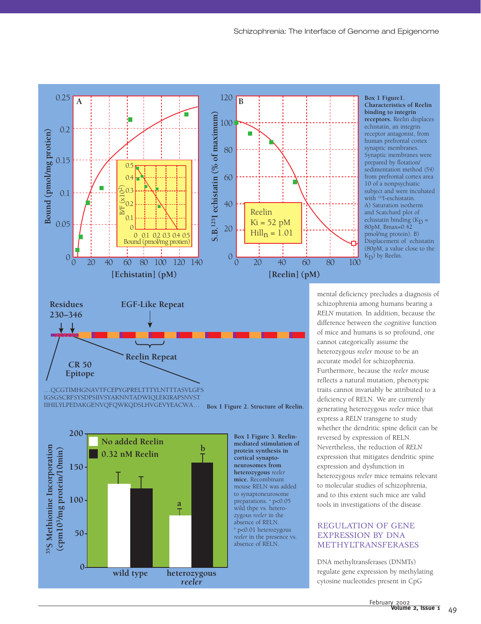





**Box 1 Figure 3. Reelinmediated stimulation of protein synthesis in cortical synaptoneurosomes from heterozygous** *reeler* **mice.** Recombinant mouse RELN was added to synaptoneurosome preparations. <sup>a</sup> p<0.05 wild thpe vs. heterozygous *reeler* in the absence of RELN. <sup>b</sup> p<0.01 heterozygous *reeler* in the presence vs. absence of RELN.

schizophrenia among humans bearing a *RELN* mutation. In addition, because the difference between the cognitive function of mice and humans is so profound, one Furthermore, because the *reeler* mouse reflects a natural mutation, phenotypic traits cannot invariably be attributed to a deficiency of RELN. We are currently generating heterozygous *reeler* mice that express a *RELN* transgene to study whether the dendritic spine deficit can be reversed by expression of RELN. Nevertheless, the reduction of *RELN* expression that mitigates dendritic spine expression and dysfunction in heterozygous *reeler* mice remains relevant to molecular studies of schizophrenia, and to this extent such mice are valid tools in investigations of the disease.

#### REGULATION OF GENE EXPRESSION BY DNA METHYLTRANSFERASES

DNA methyltransferases (DNMTs) regulate gene expression by methylating cytosine nucleotides present in CpG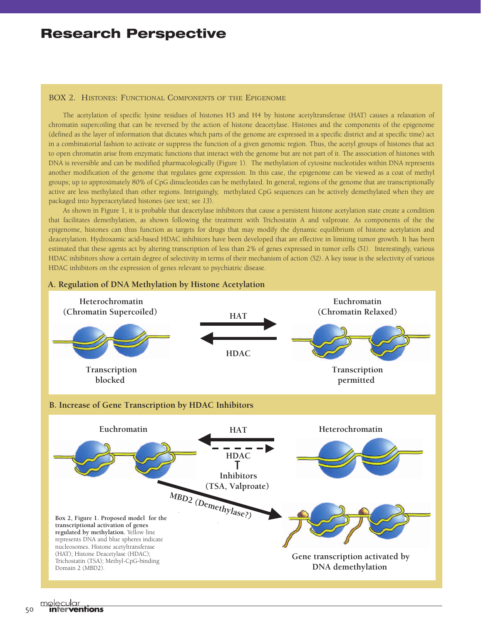#### BOX 2. HISTONES: FUNCTIONAL COMPONENTS OF THE EPIGENOME

The acetylation of specific lysine residues of histones H3 and H4 by histone acetyltransferase (HAT) causes a relaxation of chromatin supercoiling that can be reversed by the action of histone deacetylase. Histones and the components of the epigenome (defined as the layer of information that dictates which parts of the genome are expressed in a specific district and at specific time) act in a combinatorial fashion to activate or suppress the function of a given genomic region. Thus, the acetyl groups of histones that act to open chromatin arise from enzymatic functions that interact with the genome but are not part of it. The association of histones with DNA is reversible and can be modified pharmacologically (Figure 1). The methylation of cytosine nucleotides within DNA represents another modification of the genome that regulates gene expression. In this case, the epigenome can be viewed as a coat of methyl groups; up to approximately 80% of CpG dinucleotides can be methylated. In general, regions of the genome that are transcriptionally active are less methylated than other regions. Intriguingly, methylated CpG sequences can be actively demethylated when they are packaged into hyperacetylated histones (see text; see *13*).

As shown in Figure 1, it is probable that deacetylase inhibitors that cause a persistent histone acetylation state create a condition that facilitates demethylation, as shown following the treatment with Trichostatin A and valproate. As components of the the epigenome, histones can thus function as targets for drugs that may modify the dynamic equilibrium of histone acetylation and deacetylation. Hydroxamic acid-based HDAC inhibitors have been developed that are effective in limiting tumor growth. It has been estimated that these agents act by altering transcription of less than 2% of genes expressed in tumor cells *(51)*. Interestingly, various HDAC inhibitors show a certain degree of selectivity in terms of their mechanism of action *(52)*. A key issue is the selectivity of various HDAC inhibitors on the expression of genes relevant to psychiatric disease.



#### **A. Regulation of DNA Methylation by Histone Acetylation**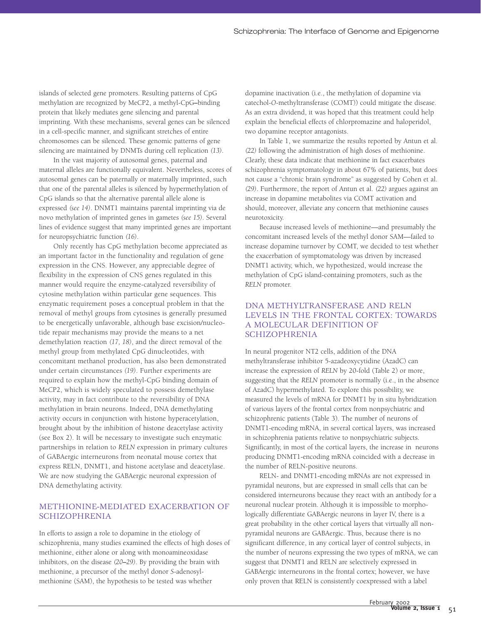islands of selected gene promoters. Resulting patterns of CpG methylation are recognized by MeCP2, a methyl-CpG**–**binding protein that likely mediates gene silencing and parental imprinting. With these mechanisms, several genes can be silenced in a cell-specific manner, and significant stretches of entire chromosomes can be silenced. These genomic patterns of gene silencing are maintained by DNMTs during cell replication *(13)*.

In the vast majority of autosomal genes, paternal and maternal alleles are functionally equivalent. Nevertheless, scores of autosomal genes can be paternally or maternally imprinted, such that one of the parental alleles is silenced by hypermethylation of CpG islands so that the alternative parental allele alone is expressed *(see 14)*. DNMT1 maintains parental imprinting via de novo methylation of imprinted genes in gametes *(see 15)*. Several lines of evidence suggest that many imprinted genes are important for neuropsychiatric function *(16)*.

Only recently has CpG methylation become appreciated as an important factor in the functionality and regulation of gene expression in the CNS. However, any appreciable degree of flexibility in the expression of CNS genes regulated in this manner would require the enzyme-catalyzed reversibility of cytosine methylation within particular gene sequences. This enzymatic requirement poses a conceptual problem in that the removal of methyl groups from cytosines is generally presumed to be energetically unfavorable, although base excision/nucleotide repair mechanisms may provide the means to a net demethylation reaction *(17, 18)*, and the direct removal of the methyl group from methylated CpG dinucleotides, with concomitant methanol production, has also been demonstrated under certain circumstances *(19)*. Further experiments are required to explain how the methyl-CpG binding domain of MeCP2, which is widely speculated to possess demethylase activity, may in fact contribute to the reversibility of DNA methylation in brain neurons. Indeed, DNA demethylating activity occurs in conjunction with histone hyperacetylation, brought about by the inhibition of histone deacetylase activity (see Box 2). It will be necessary to investigate such enzymatic partnerships in relation to *RELN* expression in primary cultures of GABAergic interneurons from neonatal mouse cortex that express RELN, DNMT1, and histone acetylase and deacetylase. We are now studying the GABAergic neuronal expression of DNA demethylating activity.

#### METHIONINE-MEDIATED EXACERBATION OF SCHIZOPHRENIA

In efforts to assign a role to dopamine in the etiology of schizophrenia, many studies examined the effects of high doses of methionine, either alone or along with monoamineoxidase inhibitors, on the disease *(20–29)*. By providing the brain with methionine, a precursor of the methyl donor *S*-adenosylmethionine (SAM), the hypothesis to be tested was whether

dopamine inactivation (i.e., the methylation of dopamine via catechol-*O*-methyltransferase (COMT)) could mitigate the disease. As an extra dividend, it was hoped that this treatment could help explain the beneficial effects of chlorpromazine and haloperidol, two dopamine receptor antagonists.

In Table 1, we summarize the results reported by Antun et al. *(22)* following the administration of high doses of methionine. Clearly, these data indicate that methionine in fact exacerbates schizophrenia symptomatology in about 67% of patients, but does not cause a "chronic brain syndrome" as suggested by Cohen et al. *(29)*. Furthermore, the report of Antun et al. *(22)* argues against an increase in dopamine metabolites via COMT activation and should, moreover, alleviate any concern that methionine causes neurotoxicity.

Because increased levels of methionine—and presumably the concomitant increased levels of the methyl donor SAM—failed to increase dopamine turnover by COMT, we decided to test whether the exacerbation of symptomatology was driven by increased DNMT1 activity, which, we hypothesized, would increase the methylation of CpG island-containing promoters, such as the *RELN* promoter.

#### DNA METHYLTRANSFERASE AND RELN LEVELS IN THE FRONTAL CORTEX: TOWARDS A MOLECULAR DEFINITION OF SCHIZOPHRENIA

In neural progenitor NT2 cells, addition of the DNA methyltransferase inhibitor 5-azadeoxycytidine (AzadC) can increase the expression of *RELN* by 20-fold (Table 2) or more, suggesting that the *RELN* promoter is normally (i.e., in the absence of AzadC) hypermethylated. To explore this possibility, we measured the levels of mRNA for DNMT1 by in situ hybridization of various layers of the frontal cortex from nonpsychiatric and schizophrenic patients (Table 3). The number of neurons of DNMT1-encoding mRNA, in several cortical layers, was increased in schizophrenia patients relative to nonpsychiatric subjects. Significantly, in most of the cortical layers, the increase in neurons producing DNMT1-encoding mRNA coincided with a decrease in the number of RELN-positive neurons.

RELN- and DNMT1-encoding mRNAs are not expressed in pyramidal neurons, but are expressed in small cells that can be considered interneurons because they react with an antibody for a neuronal nuclear protein. Although it is impossible to morphologically differentiate GABAergic neurons in layer IV, there is a great probability in the other cortical layers that virtually all nonpyramidal neurons are GABAergic. Thus, because there is no significant difference, in any cortical layer of control subjects, in the number of neurons expressing the two types of mRNA, we can suggest that DNMT1 and RELN are selectively expressed in GABAergic interneurons in the frontal cortex; however, we have only proven that RELN is consistently coexpressed with a label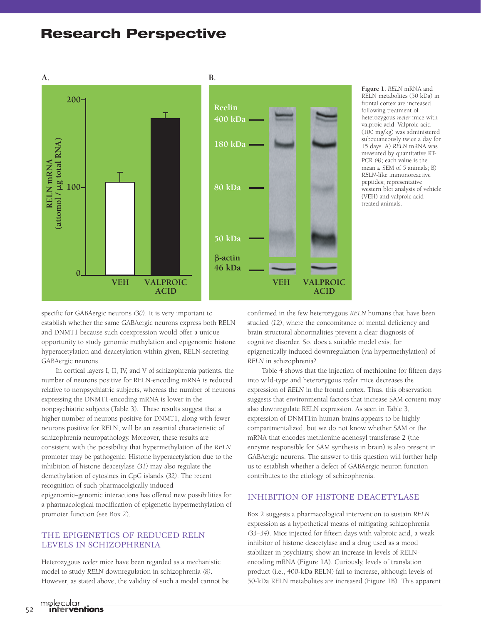



**Figure 1.** *RELN* mRNA and RELN metabolites (50 kDa) in frontal cortex are increased following treatment of heterozygous *reeler* mice with valproic acid. Valproic acid (100 mg/kg) was administered subcutaneously twice a day for 15 days. A) *RELN* mRNA was measured by quantitative RT-PCR *(4)*; each value is the mean  $\pm$  SEM of 5 animals; B) *RELN*-like immunoreactive peptides; representative western blot analysis of vehicle (VEH) and valproic acid treated animals.

specific for GABAergic neurons *(30)*. It is very important to establish whether the same GABAergic neurons express both RELN and DNMT1 because such coexpression would offer a unique opportunity to study genomic methylation and epigenomic histone hyperacetylation and deacetylation within given, RELN-secreting GABAergic neurons.

In cortical layers I, II, IV, and V of schizophrenia patients, the number of neurons positive for RELN-encoding mRNA is reduced relative to nonpsychiatric subjects, whereas the number of neurons expressing the DNMT1-encoding mRNA is lower in the nonpsychiatric subjects (Table 3). These results suggest that a higher number of neurons positive for DNMT1, along with fewer neurons positive for RELN, will be an essential characteristic of schizophrenia neuropathology. Moreover, these results are consistent with the possibility that hypermethylation of the *RELN* promoter may be pathogenic. Histone hyperacetylation due to the inhibition of histone deacetylase *(31)* may also regulate the demethylation of cytosines in CpG islands *(32)*. The recent recognition of such pharmacolgically induced epigenomic–genomic interactions has offered new possibilities for a pharmacological modification of epigenetic hypermethylation of promoter function (see Box 2).

## THE EPIGENETICS OF REDUCED RELN LEVELS IN SCHIZOPHRENIA

Heterozygous *reeler* mice have been regarded as a mechanistic model to study *RELN* downregulation in schizophrenia *(8)*. However, as stated above, the validity of such a model cannot be confirmed in the few heterozygous *RELN* humans that have been studied *(12)*, where the concomitance of mental deficiency and brain structural abnormalities prevent a clear diagnosis of cognitive disorder. So, does a suitable model exist for epigenetically induced downregulation (via hypermethylation) of *RELN* in schizophrenia?

Table 4 shows that the injection of methionine for fifteen days into wild-type and heterozygous *reeler* mice decreases the expression of *RELN* in the frontal cortex. Thus, this observation suggests that environmental factors that increase SAM content may also downregulate RELN expression. As seen in Table 3, expression of DNMT1in human brains appears to be highly compartmentalized, but we do not know whether SAM or the mRNA that encodes methionine adenosyl transferase 2 (the enzyme responsible for SAM synthesis in brain) is also present in GABAergic neurons. The answer to this question will further help us to establish whether a defect of GABAergic neuron function contributes to the etiology of schizophrenia.

#### INHIBITION OF HISTONE DEACETYLASE

Box 2 suggests a pharmacological intervention to sustain *RELN* expression as a hypothetical means of mitigating schizophrenia *(33–34)*. Mice injected for fifteen days with valproic acid, a weak inhibitor of histone deacetylase and a drug used as a mood stabilizer in psychiatry, show an increase in levels of RELNencoding mRNA (Figure 1A). Curiously, levels of translation product (i.e., 400-kDa RELN) fail to increase, although levels of 50-kDa RELN metabolites are increased (Figure 1B). This apparent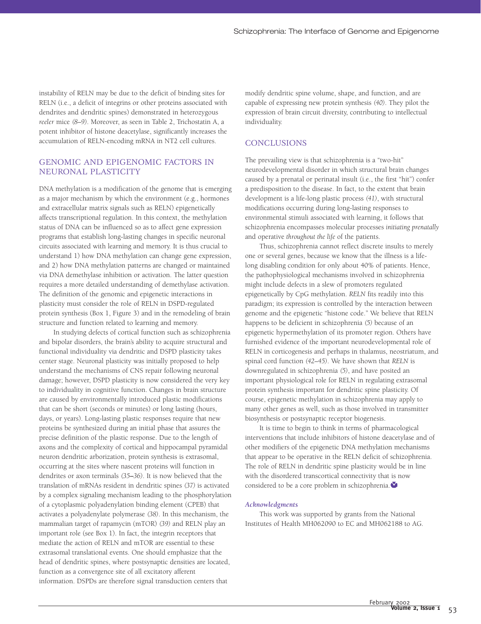instability of RELN may be due to the deficit of binding sites for RELN (i.e., a deficit of integrins or other proteins associated with dendrites and dendritic spines) demonstrated in heterozygous *reeler* mice *(8–9)*. Moreover, as seen in Table 2, Trichostatin A, a potent inhibitor of histone deacetylase, significantly increases the accumulation of RELN-encoding mRNA in NT2 cell cultures.

## GENOMIC AND EPIGENOMIC FACTORS IN NEURONAL PLASTICITY

DNA methylation is a modification of the genome that is emerging as a major mechanism by which the environment (e.g., hormones and extracellular matrix signals such as RELN) epigenetically affects transcriptional regulation. In this context, the methylation status of DNA can be influenced so as to affect gene expression programs that establish long-lasting changes in specific neuronal circuits associated with learning and memory. It is thus crucial to understand 1) how DNA methylation can change gene expression, and 2) how DNA methylation patterns are changed or maintained via DNA demethylase inhibition or activation. The latter question requires a more detailed understanding of demethylase activation. The definition of the genomic and epigenetic interactions in plasticity must consider the role of RELN in DSPD-regulated protein synthesis (Box 1, Figure 3) and in the remodeling of brain structure and function related to learning and memory.

In studying defects of cortical function such as schizophrenia and bipolar disorders, the brain's ability to acquire structural and functional individuality via dendritic and DSPD plasticity takes center stage. Neuronal plasticity was initially proposed to help understand the mechanisms of CNS repair following neuronal damage; however, DSPD plasticity is now considered the very key to individuality in cognitive function. Changes in brain structure are caused by environmentally introduced plastic modifications that can be short (seconds or minutes) or long lasting (hours, days, or years). Long-lasting plastic responses require that new proteins be synthesized during an initial phase that assures the precise definition of the plastic response. Due to the length of axons and the complexity of cortical and hippocampal pyramidal neuron dendritic arborization, protein synthesis is extrasomal, occurring at the sites where nascent proteins will function in dendrites or axon terminals *(35–36)*. It is now believed that the translation of mRNAs resident in dendritic spines *(37)* is activated by a complex signaling mechanism leading to the phosphorylation of a cytoplasmic polyadenylation binding element (CPEB) that activates a polyadenylate polymerase *(38)*. In this mechanism, the mammalian target of rapamycin (mTOR) *(39)* and RELN play an important role (see Box 1). In fact, the integrin receptors that mediate the action of RELN and mTOR are essential to these extrasomal translational events. One should emphasize that the head of dendritic spines, where postsynaptic densities are located, function as a convergence site of all excitatory afferent information. DSPDs are therefore signal transduction centers that

modify dendritic spine volume, shape, and function, and are capable of expressing new protein synthesis *(40)*. They pilot the expression of brain circuit diversity, contributing to intellectual individuality.

## **CONCLUSIONS**

The prevailing view is that schizophrenia is a "two-hit" neurodevelopmental disorder in which structural brain changes caused by a prenatal or perinatal insult (i.e., the first "hit") confer a predisposition to the disease. In fact, to the extent that brain development is a life-long plastic process *(41)*, with structural modifications occurring during long-lasting responses to environmental stimuli associated with learning, it follows that schizophrenia encompasses molecular processes *initiating prenatally* and operative *throughout the life* of the patients.

Thus, schizophrenia cannot reflect discrete insults to merely one or several genes, because we know that the illness is a lifelong disabling condition for only about 40% of patients. Hence, the pathophysiological mechanisms involved in schizophrenia might include defects in a slew of promoters regulated epigenetically by CpG methylation. *RELN* fits readily into this paradigm; its expression is controlled by the interaction between genome and the epigenetic "histone code." We believe that RELN happens to be deficient in schizophrenia *(5)* because of an epigenetic hypermethylation of its promoter region. Others have furnished evidence of the important neurodevelopmental role of RELN in corticogenesis and perhaps in thalamus, neostriatum, and spinal cord function *(42–45)*. We have shown that *RELN* is downregulated in schizophrenia *(5)*, and have posited an important physiological role for RELN in regulating extrasomal protein synthesis important for dendritic spine plasticity. Of course, epigenetic methylation in schizophrenia may apply to many other genes as well, such as those involved in transmitter biosynthesis or postsynaptic receptor biogenesis.

It is time to begin to think in terms of pharmacological interventions that include inhibitors of histone deacetylase and of other modifiers of the epigenetic DNA methylation mechanisms that appear to be operative in the RELN deficit of schizophrenia. The role of RELN in dendritic spine plasticity would be in line with the disordered transcortical connectivity that is now considered to be a core problem in schizophrenia.

#### *Acknowledgments*

This work was supported by grants from the National Institutes of Health MH062090 to EC and MH062188 to AG.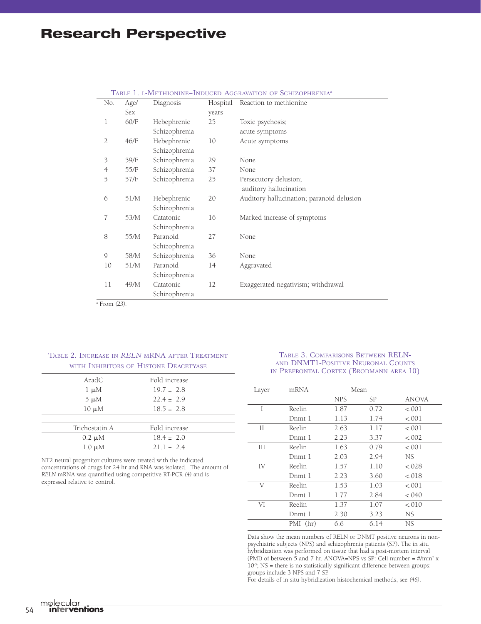| No.            | Age/ | Diagnosis     | Hospital | Reaction to methionine                    |  |
|----------------|------|---------------|----------|-------------------------------------------|--|
|                | Sex  |               | years    |                                           |  |
| 1              | 60/F | Hebephrenic   | 25       | Toxic psychosis;                          |  |
|                |      | Schizophrenia |          | acute symptoms                            |  |
| $\overline{2}$ | 46/F | Hebephrenic   | 10       | Acute symptoms                            |  |
|                |      | Schizophrenia |          |                                           |  |
| 3              | 59/F | Schizophrenia | 29       | None                                      |  |
| $\overline{4}$ | 55/F | Schizophrenia | 37       | None                                      |  |
| 5              | 57/F | Schizophrenia | 25       | Persecutory delusion;                     |  |
|                |      |               |          | auditory hallucination                    |  |
| 6              | 51/M | Hebephrenic   | 20       | Auditory hallucination; paranoid delusion |  |
|                |      | Schizophrenia |          |                                           |  |
| 7              | 53/M | Catatonic     | 16       | Marked increase of symptoms               |  |
|                |      | Schizophrenia |          |                                           |  |
| 8              | 55/M | Paranoid      | 27       | None                                      |  |
|                |      | Schizophrenia |          |                                           |  |
| 9              | 58/M | Schizophrenia | 36       | None                                      |  |
| 10             | 51/M | Paranoid      | 14       | Aggravated                                |  |
|                |      | Schizophrenia |          |                                           |  |
| 11             | 49/M | Catatonic     | 12       | Exaggerated negativism; withdrawal        |  |
|                |      | Schizophrenia |          |                                           |  |
|                |      |               |          |                                           |  |

TABLE 1. L-METHIONINE–INDUCED AGGRAVATION OF SCHIZOPHRENIA<sup>a</sup>

<sup>a</sup> From *(23).*

## TABLE 2. INCREASE IN *RELN* MRNA AFTER TREATMENT WITH INHIBITORS OF HISTONE DEACETYASE

| AzadC          | Fold increase  |
|----------------|----------------|
| $1 \mu M$      | $19.7 \pm 2.8$ |
| $5 \mu M$      | $22.4 \pm 2.9$ |
| $10 \mu M$     | $18.5 \pm 2.8$ |
|                |                |
| Trichostatin A | Fold increase  |
| $0.2 \mu M$    | $18.4 \pm 2.0$ |
| $1.0 \mu M$    | $21.1 \pm 2.4$ |
|                |                |

NT2 neural progenitor cultures were treated with the indicated concentrations of drugs for 24 hr and RNA was isolated. The amount of *RELN* mRNA was quantified using competitive RT-PCR *(4)* and is expressed relative to control.

#### TABLE 3. COMPARISONS BETWEEN RELN-AND DNMT1-POSITIVE NEURONAL COUNTS IN PREFRONTAL CORTEX (BRODMANN AREA 10)

| Layer         | mRNA     | Mean       |      |              |
|---------------|----------|------------|------|--------------|
|               |          | <b>NPS</b> | SP   | <b>ANOVA</b> |
| T             | Reelin   | 1.87       | 0.72 | < 0.001      |
|               | Dnmt 1   | 1.13       | 1.74 | < 0.001      |
| $\mathcal{I}$ | Reelin   | 2.63       | 1.17 | < 0.001      |
|               | Dnmt 1   | 2.23       | 3.37 | < 0.002      |
| Ш             | Reelin   | 1.63       | 0.79 | < 0.001      |
|               | Dnmt 1   | 2.03       | 2.94 | NS.          |
| IV            | Reelin   | 1.57       | 1.10 | < 028        |
|               | Dnmt 1   | 2.23       | 3.60 | < .018       |
| V             | Reelin   | 1.53       | 1.03 | < 0.001      |
|               | Dnmt 1   | 1.77       | 2.84 | < .040       |
| VI            | Reelin   | 1.37       | 1.07 | < .010       |
|               | Dnmt 1   | 2.30       | 3.23 | NS.          |
|               | PMI (hr) | 6.6        | 6.14 | NS.          |

Data show the mean numbers of RELN or DNMT positive neurons in nonpsychiatric subjects (NPS) and schizophrenia patients (SP). The in situ hybridization was performed on tissue that had a post-mortem interval (PMI) of between 5 and 7 hr. ANOVA=NPS vs SP: Cell number =  $\#/mm^2$  x  $10^{-3}$ ; NS = there is no statistically significant difference between groups: groups include 3 NPS and 7 SP.

For details of in situ hybridization histochemical methods, see *(46)*.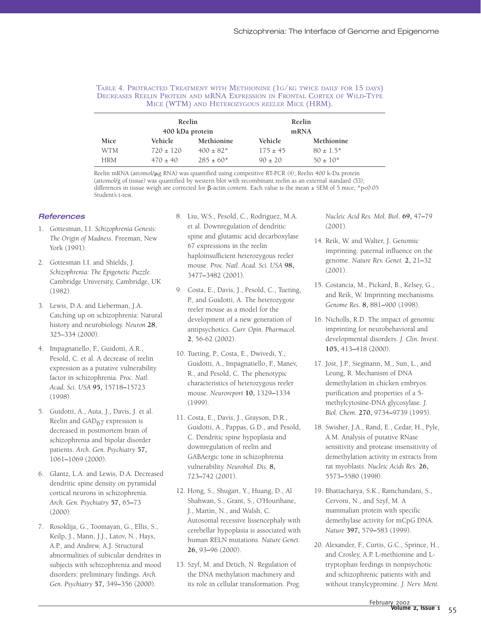TABLE 4. PROTRACTED TREATMENT WITH METHIONINE (1G/KG TWICE DAILY FOR 15 DAYS) DECREASES REELIN PROTEIN AND MRNA EXPRESSION IN FRONTAL CORTEX OF WILD-TYPE MICE (WTM) AND HETEROZYGOUS *REELER* MICE (HRM).

| Reelin<br>400 kDa protein |               |                |              | Reelin<br>mRNA |
|---------------------------|---------------|----------------|--------------|----------------|
| Mice                      | Vehicle       | Methionine     | Vehicle      | Methionine     |
| WTM                       | $720 \pm 120$ | $400 \pm 82$ * | $175 \pm 45$ | $80 \pm 1.5^*$ |
| HRM                       | $470 \pm 40$  | $285 \pm 60*$  | $90 \pm 20$  | $50 \pm 10^*$  |

Reelin mRNA (attomol/µg RNA) was quantified using competitive RT-PCR (4); Reelin 400 k-Da protein (attomol/g of tissue) was quantified by western blot with recombinant reelin as an external standard *(53)*; differences in tissue weigh are corrected for  $\beta$ -actin content. Each value is the mean  $\pm$  SEM of 5 mice; \*p<0.05 Student's t-test.

## *References*

- 1. Gottesman, I.I. *Schizophrenia Genesis: The Origin of Madness*. Freeman, New York (1991).
- 2. Gottesman I.I. and Shields, J. *Schizophrenia: The Epigenetic Puzzle.* Cambridge University, Cambridge, UK (1982).
- 3. Lewis, D.A. and Lieberman, J.A. Catching up on schizophrenia: Natural history and neurobiology. *Neuron* **28**, 325–334 (2000).
- 4. Impagnatiello, F., Guidotti, A.R., Pesold, C. et al. A decrease of reelin expression as a putative vulnerability factor in schizophrenia. *Proc. Natl. Acad. Sci. USA* **95,** 15718**–**15723 (1998).
- 5. Guidotti, A., Auta, J., Davis, J. et al. Reelin and  $GAD_{67}$  expression is decreased in postmortem brain of schizophrenia and bipolar disorder patients. *Arch. Gen. Psychiatry* **57,** 1061**–**1069 (2000).
- 6. Glantz, L.A. and Lewis, D.A. Decreased dendritic spine density on pyramidal cortical neurons in schizophrenia. *Arch. Gen. Psychiatry* **57,** 65**–**73 (2000).
- 7. Rosoklija, G., Toomayan, G., Ellis, S., Keilp, J., Mann, J.J., Latov, N., Hays, A.P., and Andrew, A.J. Structural abnormalities of subicular dendrites in subjects with schizophrenia and mood disorders: preliminary findings. *Arch. Gen. Psychiatry* **57,** 349**–**356 (2000).
- 8. Liu, W.S., Pesold, C., Rodriguez, M.A. et al. Downregulation of dendritic spine and glutamic acid decarboxylase 67 expressions in the reelin haploinsufficient heterozygous reeler mouse. *Proc. Natl. Acad. Sci. USA* **98,** 3477**–**3482 (2001).
- 9. Costa, E., Davis, J., Pesold, C., Tueting, P., and Guidotti, A. The heterozygote reeler mouse as a model for the development of a new generation of antipsychotics. *Curr. Opin. Pharmacol.* **2**, 56-62 (2002).
- 10. Tueting, P., Costa, E., Dwivedi, Y., Guidotti, A., Impagnatiello, F., Manev, R., and Pesold, C. The phenotypic characteristics of heterozygous reeler mouse. *Neuroreport* **10,** 1329**–**1334 (1999).
- 11. Costa, E., Davis, J., Grayson, D.R., Guidotti, A., Pappas, G.D., and Pesold, C. Dendritic spine hypoplasia and downregulation of reelin and GABAergic tone in schizophrenia vulnerability. *Neurobiol. Dis*. **8,** 723**–**742 (2001).
- 12. Hong, S., Shugart, Y., Huang, D., Al Shahwan, S., Grant, S., O'Hourihane, J., Martin, N., and Walsh, C. Autosomal recessive lissencephaly with cerebellar hypoplasia is associated with human RELN mutations. *Nature Genet.* **26,** 93**–**96 (2000).
- 13. Szyf, M. and Detich, N. Regulation of the DNA methylation machinery and its role in cellular transformation. *Prog.*

*Nucleic Acid Res. Mol. Biol*. **69,** 47**–**79 (2001).

- 14. Reik, W. and Walter, J. Genomic imprinting: paternal influence on the genome. *Nature Rev. Genet.* **2,** 21**–**32 (2001).
- 15. Costancia, M., Pickard, B., Kelsey, G., and Reik, W. Imprinting mechanisms. *Genome Res.* **8,** 881**–**900 (1998).
- 16. Nicholls, R.D. The impact of genomic imprinting for neurobehavioral and developmental disorders. *J. Clin. Invest.* **105,** 413**–**418 (2000).
- 17. Jost, J.P., Siegmann, M., Sun, L., and Leung, R. Mechanism of DNA demethylation in chicken embryos: purification and properties of a 5 methylcytosine-DNA glycosylase. *J. Biol. Chem.* **270,** 9734**–**9739 (1995).
- 18. Swisher, J.A., Rand, E., Cedar, H., Pyle, A.M. Analysis of putative RNase sensitivity and protease insensitivity of demethylation activity in extracts from rat myoblasts. *Nucleic Acids Res.* **26,** 5573**–**5580 (1998).
- 19. Bhattacharya, S.K., Ramchandani, S., Cervoni, N., and Szyf, M. A mammalian protein with specific demethylase activity for mCpG DNA. *Nature* **397,** 579**–**583 (1999).
- 20. Alexander, F., Curtis, G.C., Sprince, H., and Crosley, A.P. L-methionine and Ltryptophan feedings in nonpsychotic and schizophrenic patients with and without tranylcypromine. *J. Nerv. Ment.*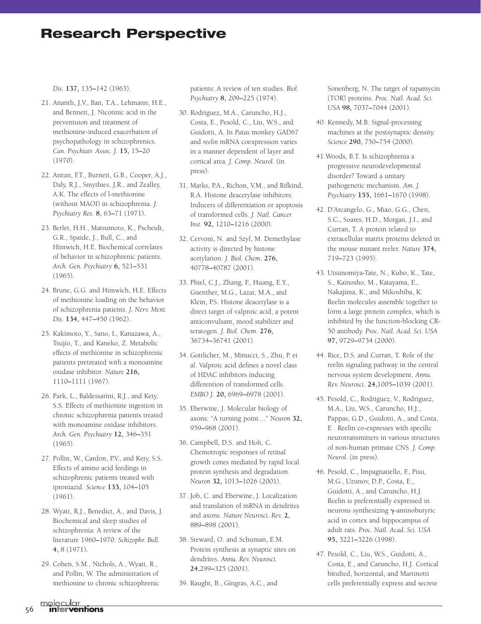*Dis.* **137,** 135**–**142 (1963).

- 21. Ananth, J.V., Ban, T.A., Lehmann, H.E., and Bennett, J. Nicotinic acid in the preventuion and treatment of methionine-induced exacerbation of psychopathology in schizophrenics. *Can. Psychiatr. Assoc. J.* **15,** 15**–**20 (1970).
- 22. Antun, F.T., Burnett, G.B., Cooper, A.J., Daly, R.J., Smythies, J.R., and Zealley, A.K. The effects of l-methionine (without MAOI) in schizophrenia. *J. Psychiatry Res.* **8,** 63**–**71 (1971).
- 23. Berlet, H.H., Matsumoto, K., Pscheidt, G.R., Spaide, J., Bull, C., and Himwich, H.E. Biochemical correlates of behavior in schizophrenic patients. *Arch. Gen. Psychiatry* **6,** 521**–**531 (1965).
- 24. Brune, G.G. and Himwich, H.E. Effects of methionine loading on the behavior of schizophrenia patients. *J. Nerv. Ment. Dis.* **134,** 447**–**450 (1962).
- 25. Kakimoto, Y., Sano, I., Kanazawa, A., Tsujio, T., and Kaneko, Z. Metabolic effects of methionine in schizophrenic patients pretreated with a monoamine oxidase inhibitor. *Nature* **216,** 1110**–**1111 (1967).
- 26. Park, L., Baldessarini, R.J., and Kety, S.S. Effects of methionine ingestion in chronic schizophrenia patients treated with monoamine oxidase inhibitors. *Arch. Gen. Psychiatry* **12,** 346**–**351 (1965).
- 27. Pollin, W., Cardon, P.V., and Kety, S.S. Effects of amino acid feedings in schizophrenic patients treated with iproniazid. *Science* **133,** 104**–**105 (1961).
- 28. Wyatt, R.J., Benedict, A., and Davis, J. Biochemical and sleep studies of schizophrenia: A review of the literature 1960**–**1970. *Schizophr. Bull.* **4,** 8 (1971).
- 29. Cohen, S.M., Nichols, A., Wyatt, R., and Pollin, W. The administration of methionine to chronic schizophrenic

patients: A review of ten studies. *Biol. Psychiatry* **8,** 209**–**225 (1974).

- 30. Rodriguez, M.A., Caruncho, H.J., Costa, E., Pesold, C., Liu, W.S., and Guidotti, A. In *Patas* monkey GAD67 and *reelin* mRNA coexpression varies in a manner dependent of layer and cortical area. *J. Comp. Neurol.* (in press).
- 31. Marks, P.A., Richon, V.M., and Rifkind, R.A. Histone deacetylase inhibitors: Inducers of differentiation or apoptosis of transformed cells. *J. Natl. Cancer Inst.* **92,** 1210**–**1216 (2000).
- 32. Cervoni, N. and Szyf, M. Demethylase activity is directed by histone acetylation. *J. Biol. Chem.* **276,** 40778**–**40787 (2001).
- 33. Phiel, C.J., Zhang, F., Huang, E.Y., Guenther, M.G., Lazar, M.A., and Klein, P.S. Histone deacetylase is a direct target of valproic acid, a potent anticonvulsant, mood stabilizer and teratogen. *J. Biol. Chem.* **276,** 36734**–**36741 (2001).
- 34. Gottlicher, M., Minucci, S., Zhu, P. et al. Valproic acid defines a novel class of HDAC inhibitors inducing differention of transformed cells. *EMBO J.* **20,** 6969**–**6978 (2001).
- 35. Eberwine, J. Molecular biology of axons: "A turning point…" *Neuron* **32,** 959**–**968 (2001).
- 36. Campbell, D.S. and Holt, C. Chemotropic responses of retinal growth cones mediated by rapid local protein synthesis and degradation. *Neuron* **32,** 1013**–**1026 (2001).
- 37. Job, C. and Eberwine, J. Localization and translation of mRNA in dendrites and axons. *Nature Neurosci. Rev.* **2,** 889**–**898 (2001).
- 38. Steward, O. and Schuman, E.M. Protein synthesis at synaptic sites on dendrites. *Annu. Rev. Neurosci.* **24,**299**–**325 (2001).
- 39. Raught, B., Gingras, A.C., and

Sonenberg, N. The target of rapamycin (TOR) proteins. *Proc. Natl. Acad. Sci. USA* **98,** 7037**–**7044 (2001).

- 40. Kennedy, M.B. Signal-processing machines at the postsynaptic density. *Science* **290,** 750**–**754 (2000).
- 41.Woods, B.T. Is schizophrenia a progressive neurodevelopmental disorder? Toward a unitary pathogenetic mechanism. *Am. J. Psychiatry* **155,** 1661**–**1670 (1998).
- 42. D'Arcangelo, G., Miao, G.G., Chen, S.C., Soares, H.D., Morgan, J.I., and Curran, T. A protein related to extracellular matrix proteins deleted in the mouse mutant reeler. *Nature* **374,** 719**–**723 (1995).
- 43. Utsunomiya**-**Tate, N., Kubo, K., Tate, S., Kainosho, M., Katayama, E., Nakajima, K., and Mikoshiba, K. Reelin molecules assemble together to form a large protein complex, which is inhibited by the function-blocking CR-50 antibody. *Proc. Natl. Acad. Sci. USA* **97,** 9729**–**9734 (2000).
- 44. Rice, D.S. and Curran, T. Role of the reelin signaling pathway in the central nervous system development. *Annu. Rev. Neurosci*. **24,**1005**–**1039 (2001).
- 45. Pesold, C., Rodriguez, V., Rodriguez, M.A., Liu, W.S., Caruncho, H.J., Pappas, G.D., Guidotti, A., and Costa, E . Reelin co-expresses with specific neurotransmitters in various structures of non-human primate CNS. *J. Comp. Neurol.* (in press).
- 46. Pesold, C., Impagnatiello, F., Pisu, M.G., Uzunov, D.P., Costa, E., Guidotti, A., and Caruncho, H.J. Reelin is preferentially expressed in neurons synthesizing  $\gamma$ -aminobutyric acid in cortex and hippocampus of adult rats. *Proc. Natl. Acad. Sci. USA* **95,** 3221**–**3226 (1998).
- 47. Pesold, C., Liu, W.S., Guidotti, A., Costa, E., and Caruncho, H.J. Cortical bitufted, horizontal, and Martinotti cells preferentially express and secrete